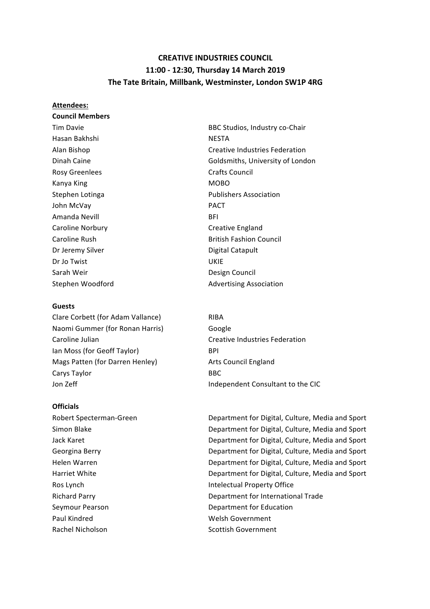# **CREATIVE INDUSTRIES COUNCIL 11:00 - 12:30, Thursday 14 March 2019** The Tate Britain, Millbank, Westminster, London SW1P 4RG

#### **Attendees:**

**Council Members** Hasan Bakhshi NESTA Rosy Greenlees **Crafts** Council Kanya King MOBO John McVay **PACT** Amanda Nevill **BFI** Caroline Norbury **Caroline** Norbury **Creative England** Dr Jeremy Silver **Digital** Catapult Dr Jo Twist **Canadian Communist Communist** UKIE Sarah Weir **Design Council** 

#### **Guests**

Clare Corbett (for Adam Vallance) RIBA Naomi Gummer (for Ronan Harris) Google Caroline Julian **Caroline Communist Creative Industries Federation** Ian Moss (for Geoff Taylor) BPI Mags Patten (for Darren Henley) Arts Council England Carys Taylor **BBC** Jon Zeff **Independent Consultant** to the CIC

#### **Officials**

Seymour Pearson **Department** for Education Paul Kindred **Welsh Government** Rachel Nicholson **Scottish Government** 

Tim Davie **BBC** Studios, Industry co-Chair Alan Bishop **Creative Industries Federation** Creative Industries Federation Dinah Caine **Goldsmiths**, University of London Stephen Lotinga<br>
Publishers Association Caroline Rush **British Fashion Council** Stephen Woodford **Advertising Association** 

Robert Specterman-Green **Department** for Digital, Culture, Media and Sport Simon Blake **Department** for Digital, Culture, Media and Sport Jack Karet **Department** for Digital, Culture, Media and Sport Georgina Berry **Department** for Digital, Culture, Media and Sport Helen Warren **Marren Edge Transforment** Compartment for Digital, Culture, Media and Sport Harriet White **Network** Department for Digital, Culture, Media and Sport Ros Lynch **Intelectual Property Office** Richard Parry **Department** for International Trade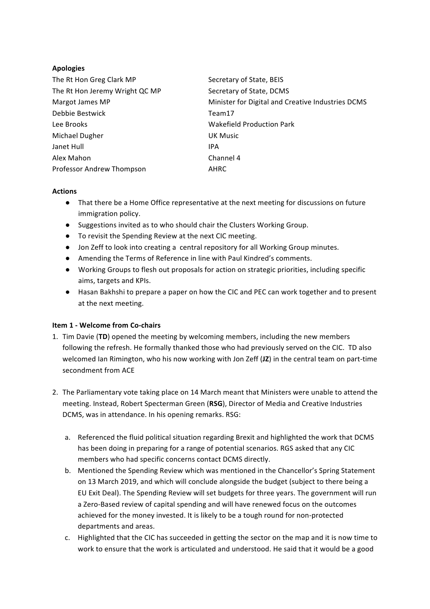## **Apologies**

| The Rt Hon Greg Clark MP       | Secretary of State, BEIS                          |
|--------------------------------|---------------------------------------------------|
| The Rt Hon Jeremy Wright QC MP | Secretary of State, DCMS                          |
| Margot James MP                | Minister for Digital and Creative Industries DCMS |
| Debbie Bestwick                | Team17                                            |
| Lee Brooks                     | <b>Wakefield Production Park</b>                  |
| Michael Dugher                 | <b>UK Music</b>                                   |
| Janet Hull                     | IPA                                               |
| Alex Mahon                     | Channel 4                                         |
| Professor Andrew Thompson      | AHRC                                              |

## **Actions**

- That there be a Home Office representative at the next meeting for discussions on future immigration policy.
- Suggestions invited as to who should chair the Clusters Working Group.
- To revisit the Spending Review at the next CIC meeting.
- Jon Zeff to look into creating a central repository for all Working Group minutes.
- Amending the Terms of Reference in line with Paul Kindred's comments.
- Working Groups to flesh out proposals for action on strategic priorities, including specific aims, targets and KPIs.
- Hasan Bakhshi to prepare a paper on how the CIC and PEC can work together and to present at the next meeting.

## **Item 1 - Welcome from Co-chairs**

- 1. Tim Davie (TD) opened the meeting by welcoming members, including the new members following the refresh. He formally thanked those who had previously served on the CIC. TD also welcomed Ian Rimington, who his now working with Jon Zeff (JZ) in the central team on part-time secondment from ACF
- 2. The Parliamentary vote taking place on 14 March meant that Ministers were unable to attend the meeting. Instead, Robert Specterman Green (RSG), Director of Media and Creative Industries DCMS, was in attendance. In his opening remarks. RSG:
	- a. Referenced the fluid political situation regarding Brexit and highlighted the work that DCMS has been doing in preparing for a range of potential scenarios. RGS asked that any CIC members who had specific concerns contact DCMS directly.
	- b. Mentioned the Spending Review which was mentioned in the Chancellor's Spring Statement on 13 March 2019, and which will conclude alongside the budget (subject to there being a EU Exit Deal). The Spending Review will set budgets for three years. The government will run a Zero-Based review of capital spending and will have renewed focus on the outcomes achieved for the money invested. It is likely to be a tough round for non-protected departments and areas.
	- c. Highlighted that the CIC has succeeded in getting the sector on the map and it is now time to work to ensure that the work is articulated and understood. He said that it would be a good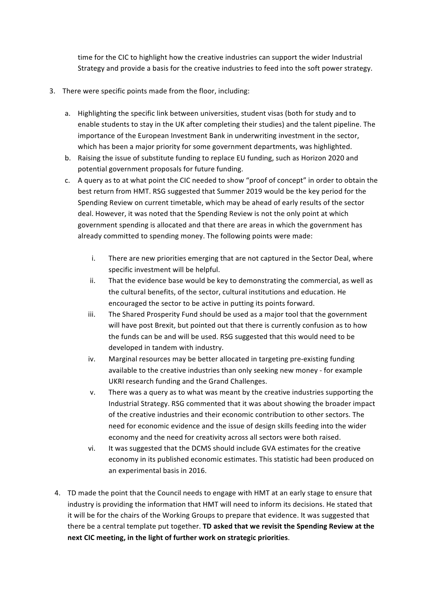time for the CIC to highlight how the creative industries can support the wider Industrial Strategy and provide a basis for the creative industries to feed into the soft power strategy.

- 3. There were specific points made from the floor, including:
	- a. Highlighting the specific link between universities, student visas (both for study and to enable students to stay in the UK after completing their studies) and the talent pipeline. The importance of the European Investment Bank in underwriting investment in the sector, which has been a major priority for some government departments, was highlighted.
	- b. Raising the issue of substitute funding to replace EU funding, such as Horizon 2020 and potential government proposals for future funding.
	- c. A query as to at what point the CIC needed to show "proof of concept" in order to obtain the best return from HMT. RSG suggested that Summer 2019 would be the key period for the Spending Review on current timetable, which may be ahead of early results of the sector deal. However, it was noted that the Spending Review is not the only point at which government spending is allocated and that there are areas in which the government has already committed to spending money. The following points were made:
		- i. There are new priorities emerging that are not captured in the Sector Deal, where specific investment will be helpful.
		- ii. That the evidence base would be key to demonstrating the commercial, as well as the cultural benefits, of the sector, cultural institutions and education. He encouraged the sector to be active in putting its points forward.
		- iii. The Shared Prosperity Fund should be used as a major tool that the government will have post Brexit, but pointed out that there is currently confusion as to how the funds can be and will be used. RSG suggested that this would need to be developed in tandem with industry.
		- iv. Marginal resources may be better allocated in targeting pre-existing funding available to the creative industries than only seeking new money - for example UKRI research funding and the Grand Challenges.
		- v. There was a query as to what was meant by the creative industries supporting the Industrial Strategy. RSG commented that it was about showing the broader impact of the creative industries and their economic contribution to other sectors. The need for economic evidence and the issue of design skills feeding into the wider economy and the need for creativity across all sectors were both raised.
		- vi. It was suggested that the DCMS should include GVA estimates for the creative economy in its published economic estimates. This statistic had been produced on an experimental basis in 2016.
	- 4. TD made the point that the Council needs to engage with HMT at an early stage to ensure that industry is providing the information that HMT will need to inform its decisions. He stated that it will be for the chairs of the Working Groups to prepare that evidence. It was suggested that there be a central template put together. **TD asked that we revisit the Spending Review at the** next CIC meeting, in the light of further work on strategic priorities.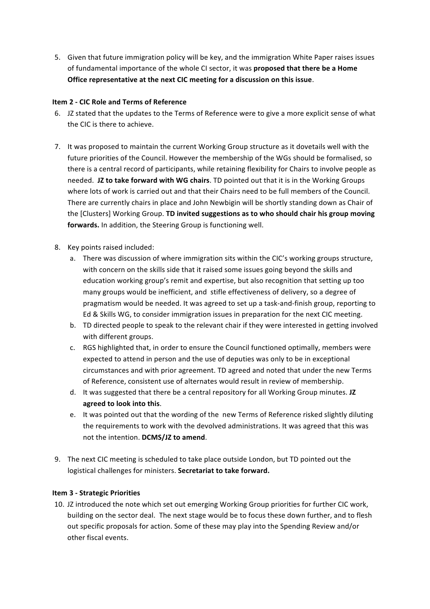5. Given that future immigration policy will be key, and the immigration White Paper raises issues of fundamental importance of the whole CI sector, it was **proposed that there be a Home Office representative at the next CIC meeting for a discussion on this issue.** 

## **Item 2 - CIC Role and Terms of Reference**

- 6. JZ stated that the updates to the Terms of Reference were to give a more explicit sense of what the CIC is there to achieve.
- 7. It was proposed to maintain the current Working Group structure as it dovetails well with the future priorities of the Council. However the membership of the WGs should be formalised, so there is a central record of participants, while retaining flexibility for Chairs to involve people as needed. **JZ to take forward with WG chairs**. TD pointed out that it is in the Working Groups where lots of work is carried out and that their Chairs need to be full members of the Council. There are currently chairs in place and John Newbigin will be shortly standing down as Chair of the [Clusters] Working Group. **TD invited suggestions as to who should chair his group moving** forwards. In addition, the Steering Group is functioning well.
- 8. Key points raised included:
	- a. There was discussion of where immigration sits within the CIC's working groups structure, with concern on the skills side that it raised some issues going beyond the skills and education working group's remit and expertise, but also recognition that setting up too many groups would be inefficient, and stifle effectiveness of delivery, so a degree of pragmatism would be needed. It was agreed to set up a task-and-finish group, reporting to Ed & Skills WG, to consider immigration issues in preparation for the next CIC meeting.
	- b. TD directed people to speak to the relevant chair if they were interested in getting involved with different groups.
	- c. RGS highlighted that, in order to ensure the Council functioned optimally, members were expected to attend in person and the use of deputies was only to be in exceptional circumstances and with prior agreement. TD agreed and noted that under the new Terms of Reference, consistent use of alternates would result in review of membership.
	- d. It was suggested that there be a central repository for all Working Group minutes. JZ **agreed to look into this**.
	- e. It was pointed out that the wording of the new Terms of Reference risked slightly diluting the requirements to work with the devolved administrations. It was agreed that this was not the intention. **DCMS/JZ to amend**.
- 9. The next CIC meeting is scheduled to take place outside London, but TD pointed out the logistical challenges for ministers. Secretariat to take forward.

## **Item 3 - Strategic Priorities**

10. JZ introduced the note which set out emerging Working Group priorities for further CIC work, building on the sector deal. The next stage would be to focus these down further, and to flesh out specific proposals for action. Some of these may play into the Spending Review and/or other fiscal events.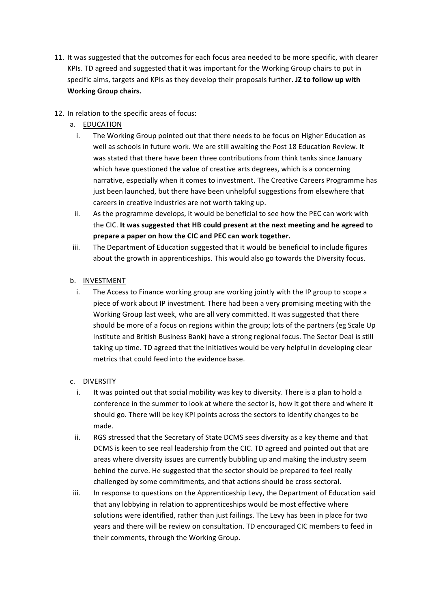- 11. It was suggested that the outcomes for each focus area needed to be more specific, with clearer KPIs. TD agreed and suggested that it was important for the Working Group chairs to put in specific aims, targets and KPIs as they develop their proposals further. **JZ to follow up with Working Group chairs.**
- 12. In relation to the specific areas of focus:
	- a. EDUCATION
		- i. The Working Group pointed out that there needs to be focus on Higher Education as well as schools in future work. We are still awaiting the Post 18 Education Review. It was stated that there have been three contributions from think tanks since January which have questioned the value of creative arts degrees, which is a concerning narrative, especially when it comes to investment. The Creative Careers Programme has just been launched, but there have been unhelpful suggestions from elsewhere that careers in creative industries are not worth taking up.
		- ii. As the programme develops, it would be beneficial to see how the PEC can work with the CIC. It was suggested that HB could present at the next meeting and he agreed to prepare a paper on how the CIC and PEC can work together.
	- iii. The Department of Education suggested that it would be beneficial to include figures about the growth in apprenticeships. This would also go towards the Diversity focus.

## b. INVESTMENT

i. The Access to Finance working group are working jointly with the IP group to scope a piece of work about IP investment. There had been a very promising meeting with the Working Group last week, who are all very committed. It was suggested that there should be more of a focus on regions within the group; lots of the partners (eg Scale Up Institute and British Business Bank) have a strong regional focus. The Sector Deal is still taking up time. TD agreed that the initiatives would be very helpful in developing clear metrics that could feed into the evidence base.

## c. DIVERSITY

- i. It was pointed out that social mobility was key to diversity. There is a plan to hold a conference in the summer to look at where the sector is, how it got there and where it should go. There will be key KPI points across the sectors to identify changes to be made.
- ii. RGS stressed that the Secretary of State DCMS sees diversity as a key theme and that DCMS is keen to see real leadership from the CIC. TD agreed and pointed out that are areas where diversity issues are currently bubbling up and making the industry seem behind the curve. He suggested that the sector should be prepared to feel really challenged by some commitments, and that actions should be cross sectoral.
- iii. In response to questions on the Apprenticeship Levy, the Department of Education said that any lobbying in relation to apprenticeships would be most effective where solutions were identified, rather than just failings. The Levy has been in place for two years and there will be review on consultation. TD encouraged CIC members to feed in their comments, through the Working Group.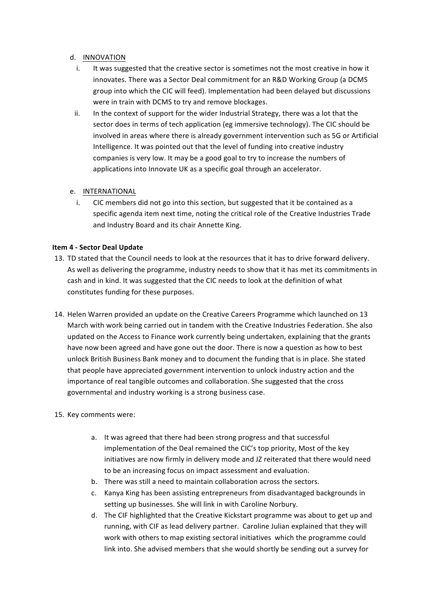## d. INNOVATION

- i. It was suggested that the creative sector is sometimes not the most creative in how it innovates. There was a Sector Deal commitment for an R&D Working Group (a DCMS group into which the CIC will feed). Implementation had been delayed but discussions were in train with DCMS to try and remove blockages.
- ii. In the context of support for the wider Industrial Strategy, there was a lot that the sector does in terms of tech application (eg immersive technology). The CIC should be involved in areas where there is already government intervention such as 5G or Artificial Intelligence. It was pointed out that the level of funding into creative industry companies is very low. It may be a good goal to try to increase the numbers of applications into Innovate UK as a specific goal through an accelerator.

## e. INTERNATIONAL

i. CIC members did not go into this section, but suggested that it be contained as a specific agenda item next time, noting the critical role of the Creative Industries Trade and Industry Board and its chair Annette King.

## **Item 4 - Sector Deal Update**

- 13. TD stated that the Council needs to look at the resources that it has to drive forward delivery. As well as delivering the programme, industry needs to show that it has met its commitments in cash and in kind. It was suggested that the CIC needs to look at the definition of what constitutes funding for these purposes.
- 14. Helen Warren provided an update on the Creative Careers Programme which launched on 13 March with work being carried out in tandem with the Creative Industries Federation. She also updated on the Access to Finance work currently being undertaken, explaining that the grants have now been agreed and have gone out the door. There is now a question as how to best unlock British Business Bank money and to document the funding that is in place. She stated that people have appreciated government intervention to unlock industry action and the importance of real tangible outcomes and collaboration. She suggested that the cross governmental and industry working is a strong business case.
- 15. Key comments were:
	- a. It was agreed that there had been strong progress and that successful implementation of the Deal remained the CIC's top priority. Most of the key initiatives are now firmly in delivery mode and JZ reiterated that there would need to be an increasing focus on impact assessment and evaluation.
	- b. There was still a need to maintain collaboration across the sectors.
	- c. Kanya King has been assisting entrepreneurs from disadvantaged backgrounds in setting up businesses. She will link in with Caroline Norbury.
	- d. The CIF highlighted that the Creative Kickstart programme was about to get up and running, with CIF as lead delivery partner. Caroline Julian explained that they will work with others to map existing sectoral initiatives which the programme could link into. She advised members that she would shortly be sending out a survey for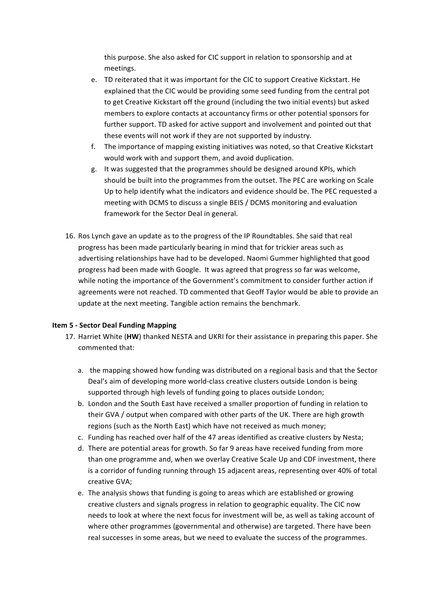this purpose. She also asked for CIC support in relation to sponsorship and at meetings. 

- e. TD reiterated that it was important for the CIC to support Creative Kickstart. He explained that the CIC would be providing some seed funding from the central pot to get Creative Kickstart off the ground (including the two initial events) but asked members to explore contacts at accountancy firms or other potential sponsors for further support. TD asked for active support and involvement and pointed out that these events will not work if they are not supported by industry.
- f. The importance of mapping existing initiatives was noted, so that Creative Kickstart would work with and support them, and avoid duplication.
- g. It was suggested that the programmes should be designed around KPIs, which should be built into the programmes from the outset. The PEC are working on Scale Up to help identify what the indicators and evidence should be. The PEC requested a meeting with DCMS to discuss a single BEIS / DCMS monitoring and evaluation framework for the Sector Deal in general.
- 16. Ros Lynch gave an update as to the progress of the IP Roundtables. She said that real progress has been made particularly bearing in mind that for trickier areas such as advertising relationships have had to be developed. Naomi Gummer highlighted that good progress had been made with Google. It was agreed that progress so far was welcome, while noting the importance of the Government's commitment to consider further action if agreements were not reached. TD commented that Geoff Taylor would be able to provide an update at the next meeting. Tangible action remains the benchmark.

## **Item 5 - Sector Deal Funding Mapping**

- 17. Harriet White (HW) thanked NESTA and UKRI for their assistance in preparing this paper. She commented that:
	- a. the mapping showed how funding was distributed on a regional basis and that the Sector Deal's aim of developing more world-class creative clusters outside London is being supported through high levels of funding going to places outside London;
	- b. London and the South East have received a smaller proportion of funding in relation to their GVA / output when compared with other parts of the UK. There are high growth regions (such as the North East) which have not received as much money;
	- c. Funding has reached over half of the 47 areas identified as creative clusters by Nesta;
	- d. There are potential areas for growth. So far 9 areas have received funding from more than one programme and, when we overlay Creative Scale Up and CDF investment, there is a corridor of funding running through 15 adjacent areas, representing over 40% of total creative GVA;
	- e. The analysis shows that funding is going to areas which are established or growing creative clusters and signals progress in relation to geographic equality. The CIC now needs to look at where the next focus for investment will be, as well as taking account of where other programmes (governmental and otherwise) are targeted. There have been real successes in some areas, but we need to evaluate the success of the programmes.